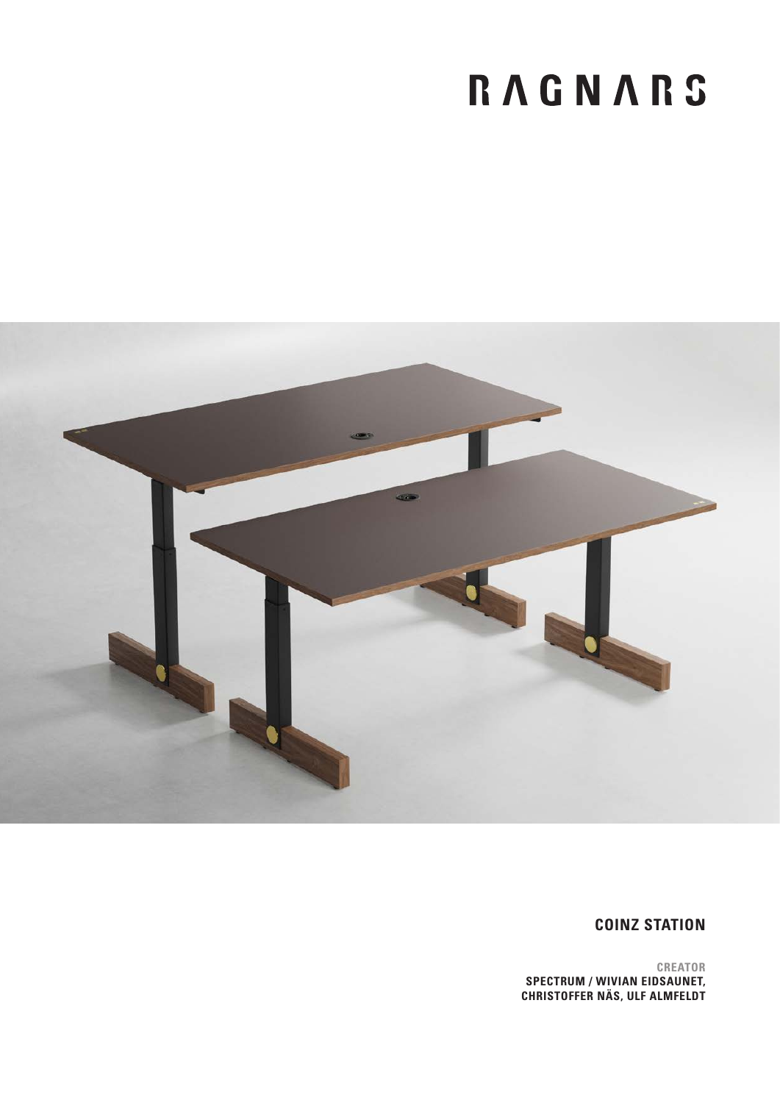# **RAGNARS**



**COINZ STATION**

**CREATOR SPECTRUM / WIVIAN EIDSAUNET, CHRISTOFFER NÄS, ULF ALMFELDT**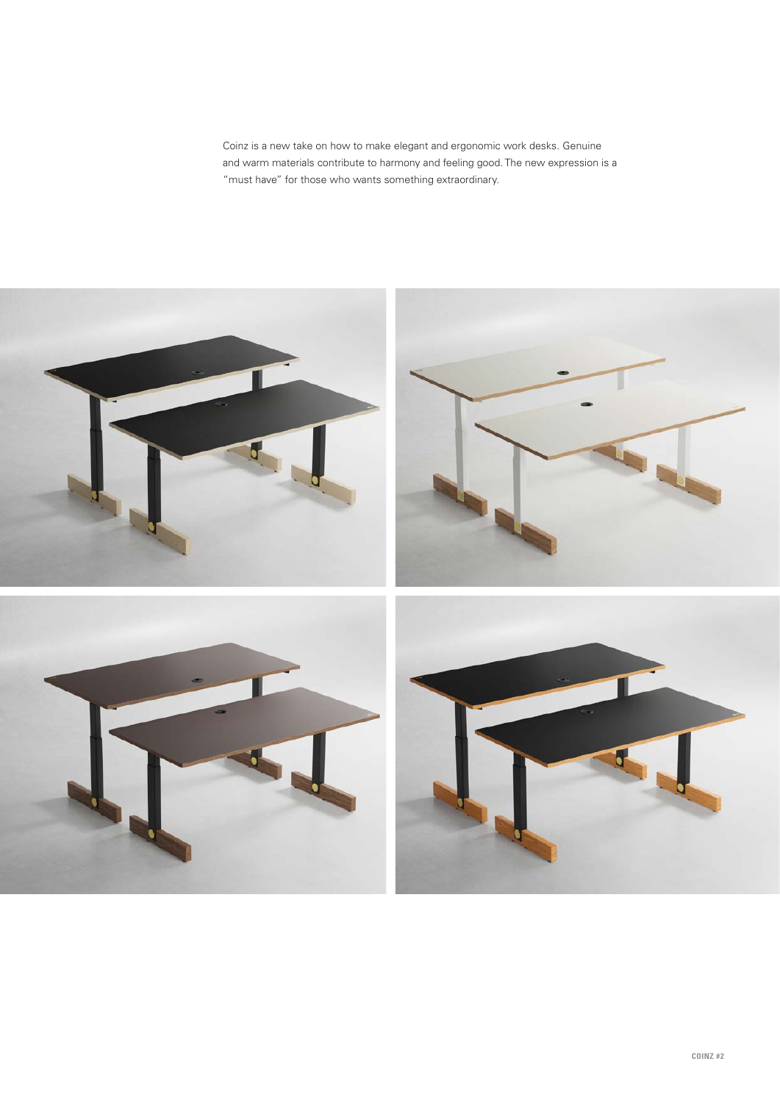Coinz is a new take on how to make elegant and ergonomic work desks. Genuine and warm materials contribute to harmony and feeling good. The new expression is a "must have" for those who wants something extraordinary.

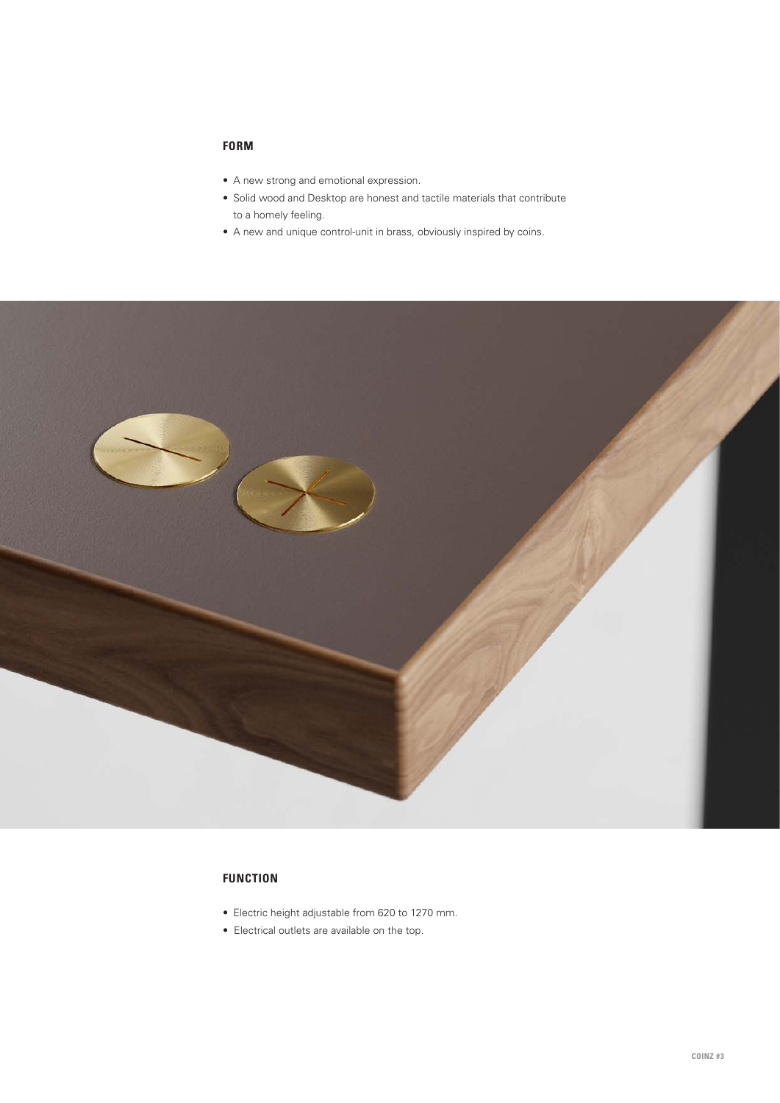#### **FORM**

- A new strong and emotional expression.
- Solid wood and Desktop are honest and tactile materials that contribute to a homely feeling.
- A new and unique control-unit in brass, obviously inspired by coins.



### **FUNCTION**

- Electric height adjustable from 620 to 1270 mm.
- Electrical outlets are available on the top.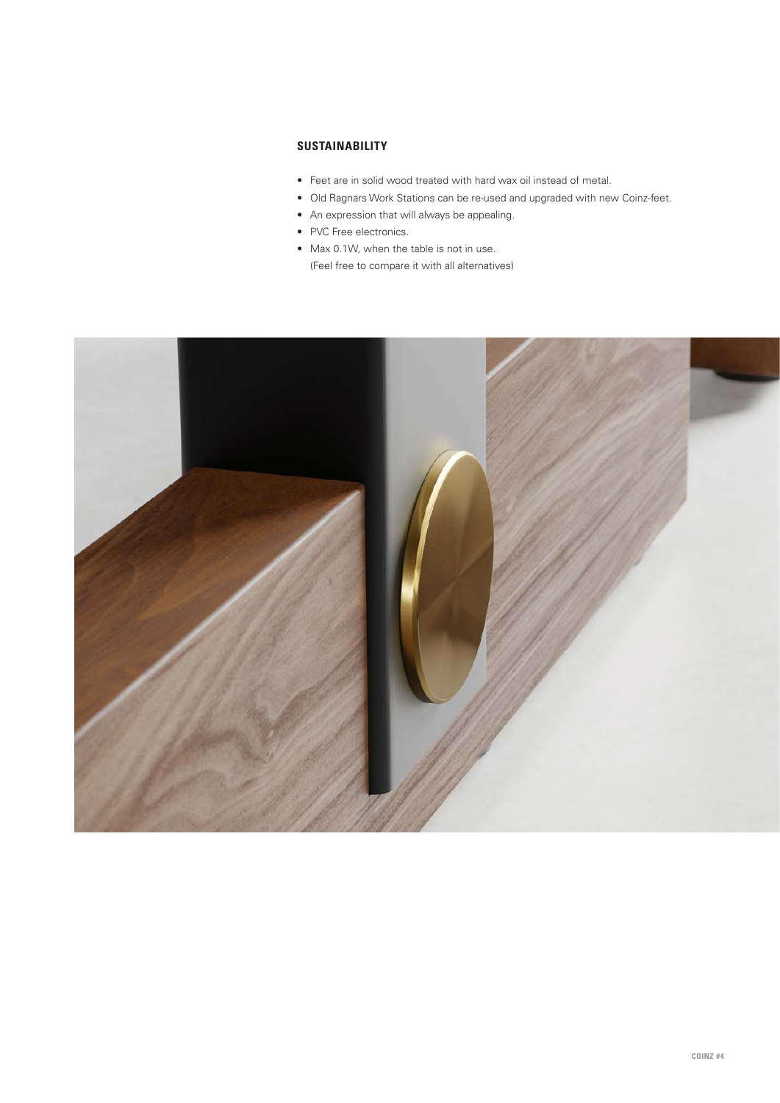#### **SUSTAINABILITY**

- Feet are in solid wood treated with hard wax oil instead of metal.
- Old Ragnars Work Stations can be re-used and upgraded with new Coinz-feet.
- An expression that will always be appealing.
- PVC Free electronics.
- Max 0.1W, when the table is not in use. (Feel free to compare it with all alternatives)

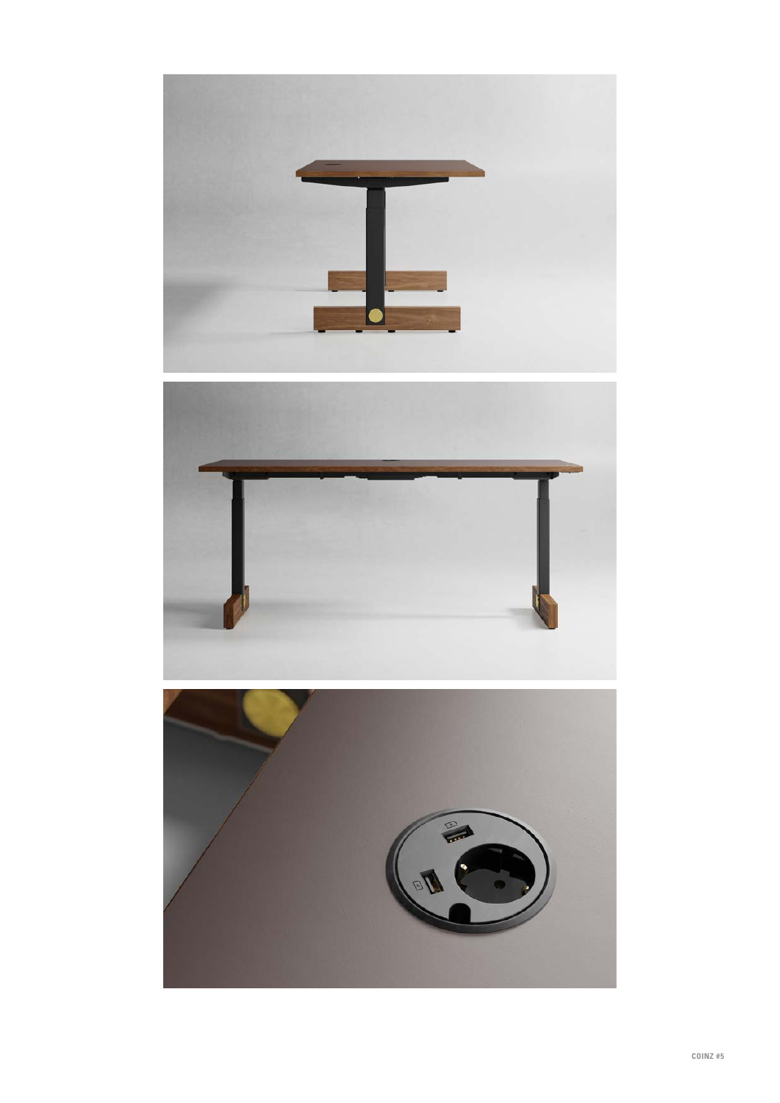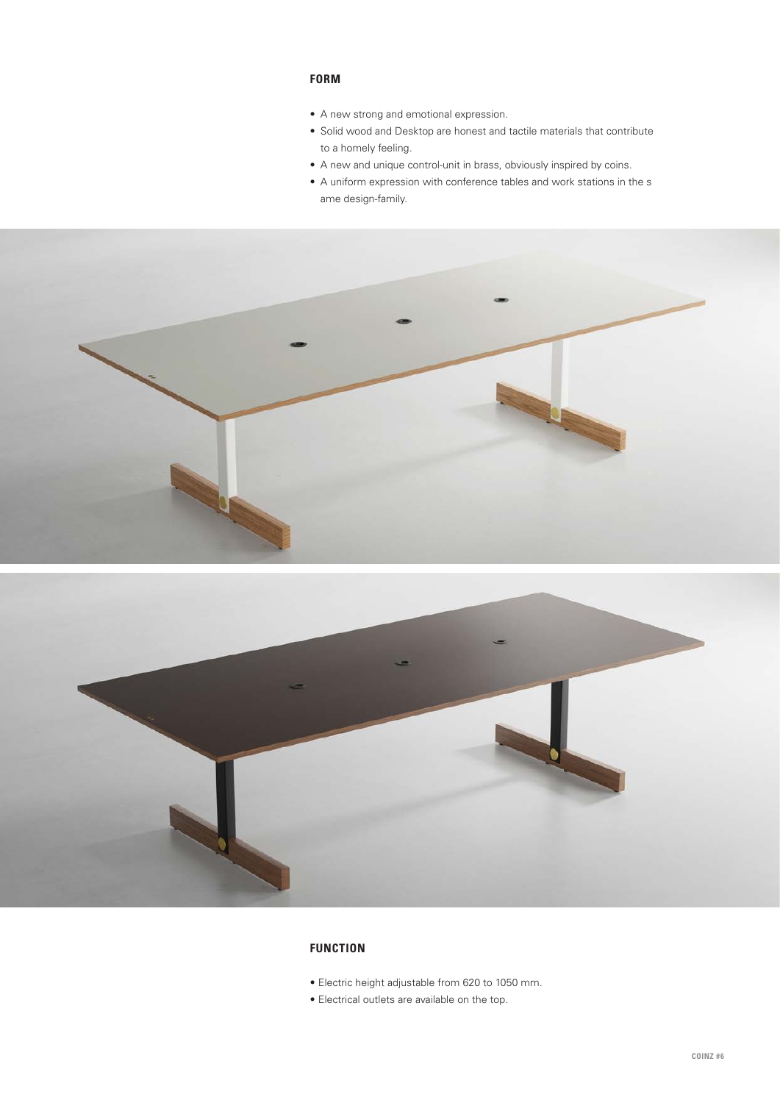#### **FORM**

- A new strong and emotional expression.
- Solid wood and Desktop are honest and tactile materials that contribute to a homely feeling.
- A new and unique control-unit in brass, obviously inspired by coins.
- A uniform expression with conference tables and work stations in the s ame design-family.





### **FUNCTION**

- Electric height adjustable from 620 to 1050 mm.
- Electrical outlets are available on the top.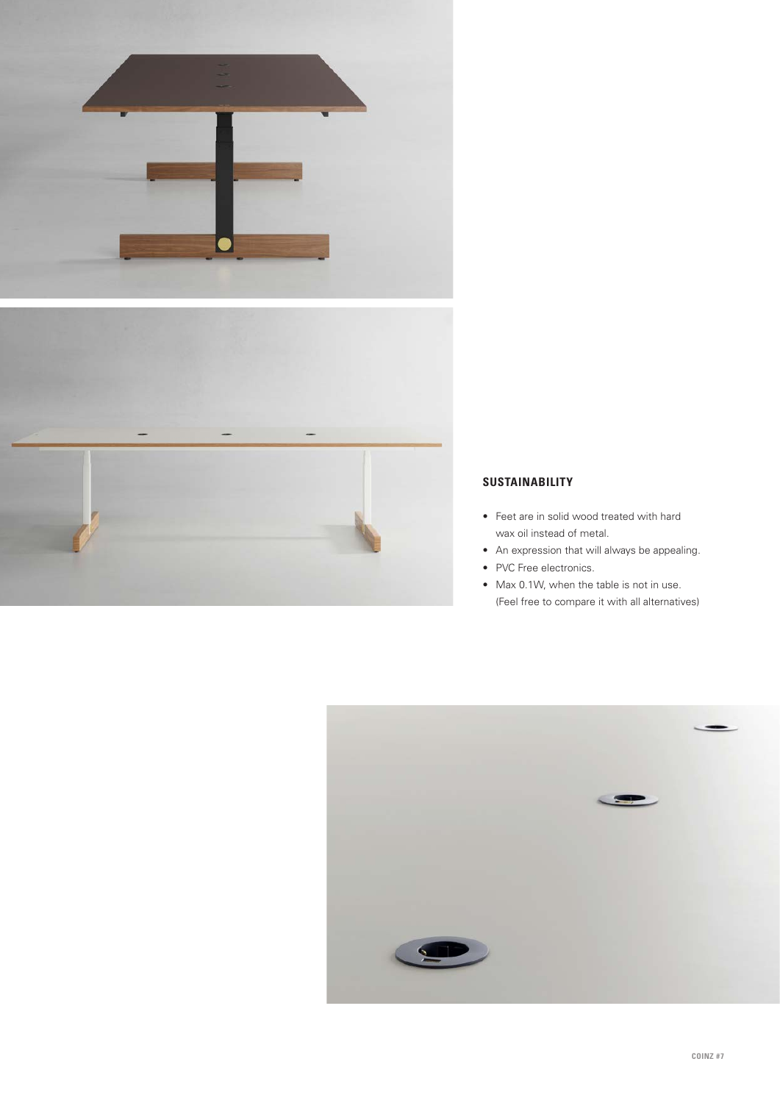

### **SUSTAINABILITY**

- Feet are in solid wood treated with hard wax oil instead of metal.
- An expression that will always be appealing.
- PVC Free electronics.
- Max 0.1W, when the table is not in use. (Feel free to compare it with all alternatives)

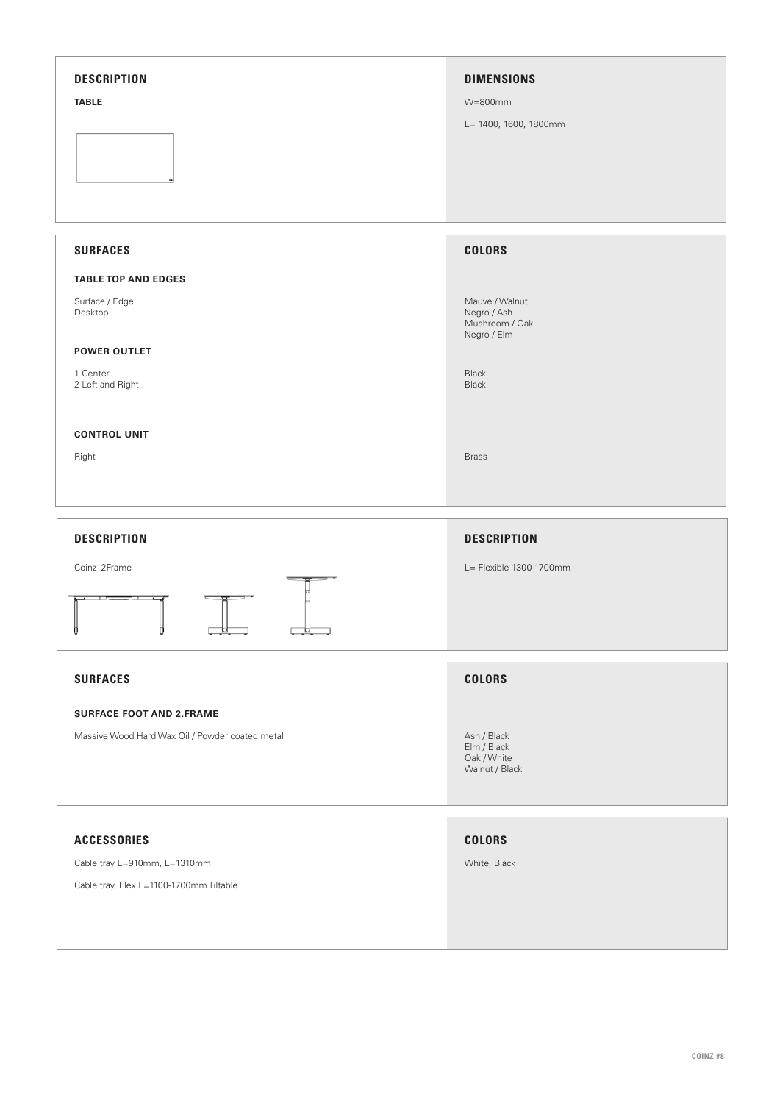## **DESCRIPTION DIMENSIONS TABLE** W=800mm L= 1400, 1600, 1800mm **SURFACES COLORS TABLE TOP AND EDGES** Surface / Edge Mauve / Walnut Desktop Mauve / Walnut Desktop Mauve / Walnut Desktop Mauve / Walnut Desktop Mauve / Walnut Desktop Mauve / Walnut Desktop Mauve / Walnut Desktop Mauve / Walnut Desktop Mauve / Walnut Desktop Desktop Negro / Ash Mushroom / Oak Negro / Elm **POWER OUTLET** 1 Center Black and the state of the state of the state of the state of the state of the Black 2 Left and Right Black **CONTROL UNIT** Right Brass **DESCRIPTION DESCRIPTION** Coinz\_2Frame L= Flexible 1300-1700mm یا ہے۔ IJ IJ **SURFACES COLORS SURFACE FOOT AND 2.FRAME** Massive Wood Hard Wax Oil / Powder coated metal Ash / Black Elm / Black Oak / White Walnut / Black

### **ACCESSORIES COLORS**

Cable tray L=910mm, L=1310mm White, Black

Cable tray, Flex L=1100-1700mm Tiltable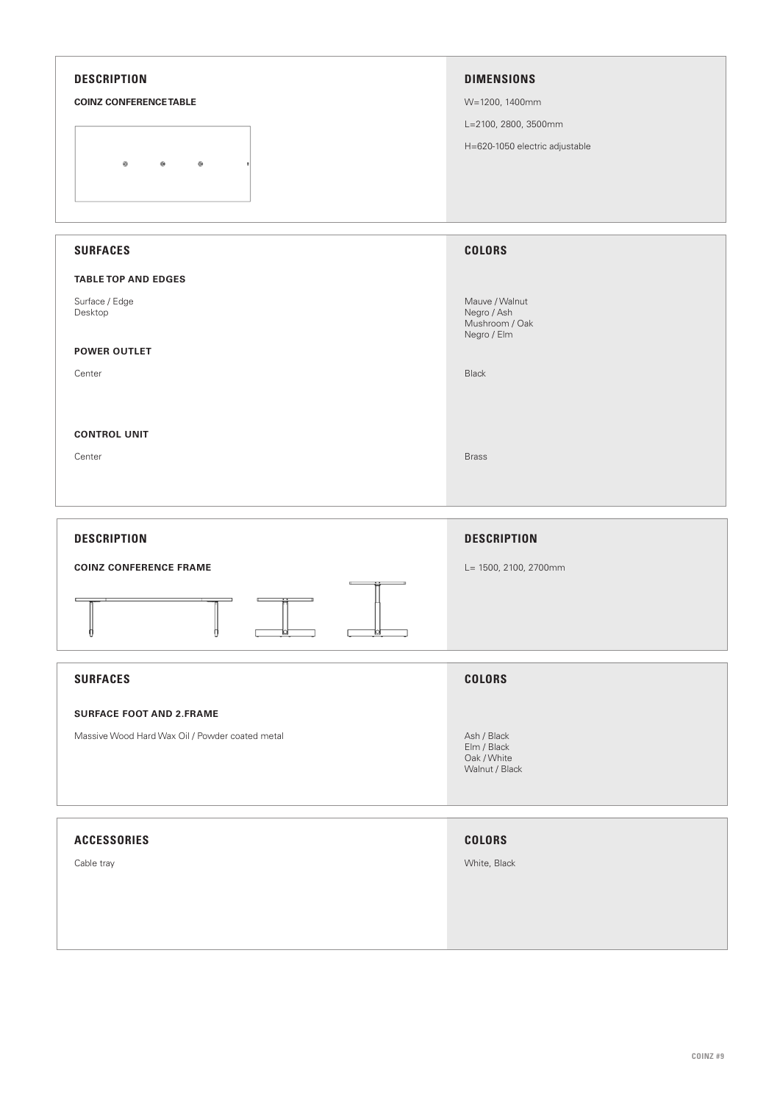#### **DESCRIPTION DIMENSIONS**

#### **COINZ CONFERENCE TABLE** W=1200, 1400mm

### $\ddot{\bullet}$  $\bullet$  $\bullet$

L=2100, 2800, 3500mm

H=620-1050 electric adjustable

#### **SURFACES COLORS**

#### **TABLE TOP AND EDGES**

Surface / Edge Mauve / Walnut Desktop Mauve / Walnut Desktop Mauve / Walnut Desktop Mauve / Walnut Desktop Mauve / Walnut Desktop Mauve / Walnut Desktop Mauve / Walnut Desktop Mauve / Walnut Desktop Mauve / Walnut Desktop Desktop Negro / Ash

#### **POWER OUTLET**

Center Black

#### **CONTROL UNIT**

Mushroom / Oak Negro / Elm

Center Brass and the Center Brass of the Center Brass and the Center Brass of the Brass of the Brass of the Brass

#### **DESCRIPTION DESCRIPTION**



**SURFACES COLORS**

#### **SURFACE FOOT AND 2.FRAME**

Massive Wood Hard Wax Oil / Powder coated metal Ash / Black

Elm / Black Oak / White Walnut / Black

#### **ACCESSORIES COLORS**

Cable tray **White, Black**